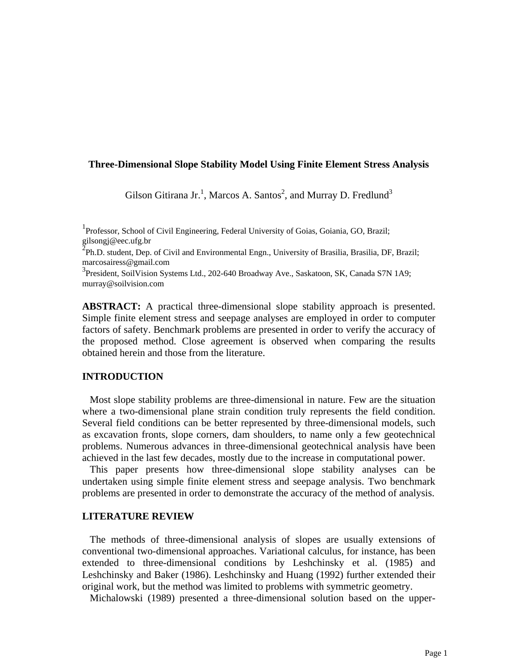## **Three-Dimensional Slope Stability Model Using Finite Element Stress Analysis**

Gilson Gitirana Jr.<sup>1</sup>, Marcos A. Santos<sup>2</sup>, and Murray D. Fredlund<sup>3</sup>

<sup>1</sup> Professor, School of Civil Engineering, Federal University of Goias, Goiania, GO, Brazil; gilsongj@eec.ufg.br

 $\overline{2}$ Ph.D. student, Dep. of Civil and Environmental Engn., University of Brasilia, Brasilia, DF, Brazil; marcosairess@gmail.com

<sup>3</sup> President, SoilVision Systems Ltd., 202-640 Broadway Ave., Saskatoon, SK, Canada S7N 1A9; murray@soilvision.com

**ABSTRACT:** A practical three-dimensional slope stability approach is presented. Simple finite element stress and seepage analyses are employed in order to computer factors of safety. Benchmark problems are presented in order to verify the accuracy of the proposed method. Close agreement is observed when comparing the results obtained herein and those from the literature.

## **INTRODUCTION**

 Most slope stability problems are three-dimensional in nature. Few are the situation where a two-dimensional plane strain condition truly represents the field condition. Several field conditions can be better represented by three-dimensional models, such as excavation fronts, slope corners, dam shoulders, to name only a few geotechnical problems. Numerous advances in three-dimensional geotechnical analysis have been achieved in the last few decades, mostly due to the increase in computational power.

 This paper presents how three-dimensional slope stability analyses can be undertaken using simple finite element stress and seepage analysis. Two benchmark problems are presented in order to demonstrate the accuracy of the method of analysis.

### **LITERATURE REVIEW**

 The methods of three-dimensional analysis of slopes are usually extensions of conventional two-dimensional approaches. Variational calculus, for instance, has been extended to three-dimensional conditions by Leshchinsky et al. (1985) and Leshchinsky and Baker (1986). Leshchinsky and Huang (1992) further extended their original work, but the method was limited to problems with symmetric geometry.

Michalowski (1989) presented a three-dimensional solution based on the upper-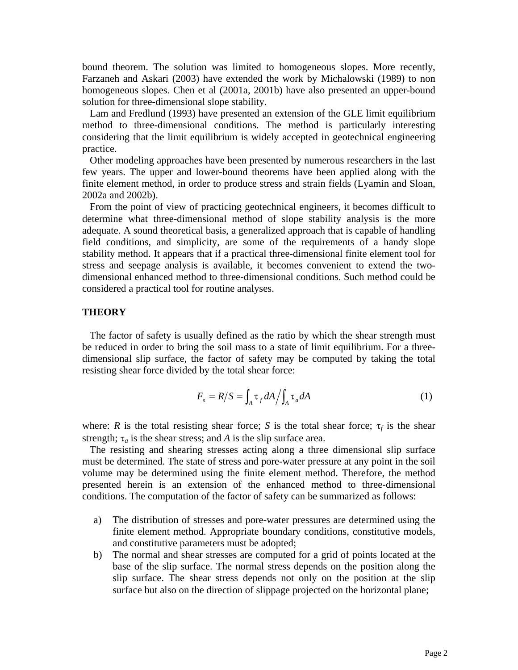bound theorem. The solution was limited to homogeneous slopes. More recently, Farzaneh and Askari (2003) have extended the work by Michalowski (1989) to non homogeneous slopes. Chen et al (2001a, 2001b) have also presented an upper-bound solution for three-dimensional slope stability.

 Lam and Fredlund (1993) have presented an extension of the GLE limit equilibrium method to three-dimensional conditions. The method is particularly interesting considering that the limit equilibrium is widely accepted in geotechnical engineering practice.

 Other modeling approaches have been presented by numerous researchers in the last few years. The upper and lower-bound theorems have been applied along with the finite element method, in order to produce stress and strain fields (Lyamin and Sloan, 2002a and 2002b).

 From the point of view of practicing geotechnical engineers, it becomes difficult to determine what three-dimensional method of slope stability analysis is the more adequate. A sound theoretical basis, a generalized approach that is capable of handling field conditions, and simplicity, are some of the requirements of a handy slope stability method. It appears that if a practical three-dimensional finite element tool for stress and seepage analysis is available, it becomes convenient to extend the twodimensional enhanced method to three-dimensional conditions. Such method could be considered a practical tool for routine analyses.

# **THEORY**

 The factor of safety is usually defined as the ratio by which the shear strength must be reduced in order to bring the soil mass to a state of limit equilibrium. For a threedimensional slip surface, the factor of safety may be computed by taking the total resisting shear force divided by the total shear force:

$$
F_s = R/S = \int_A \tau_f dA / \int_A \tau_a dA \tag{1}
$$

where: *R* is the total resisting shear force; *S* is the total shear force;  $\tau_f$  is the shear strength;  $\tau_a$  is the shear stress; and *A* is the slip surface area.

 The resisting and shearing stresses acting along a three dimensional slip surface must be determined. The state of stress and pore-water pressure at any point in the soil volume may be determined using the finite element method. Therefore, the method presented herein is an extension of the enhanced method to three-dimensional conditions. The computation of the factor of safety can be summarized as follows:

- a) The distribution of stresses and pore-water pressures are determined using the finite element method. Appropriate boundary conditions, constitutive models, and constitutive parameters must be adopted;
- b) The normal and shear stresses are computed for a grid of points located at the base of the slip surface. The normal stress depends on the position along the slip surface. The shear stress depends not only on the position at the slip surface but also on the direction of slippage projected on the horizontal plane;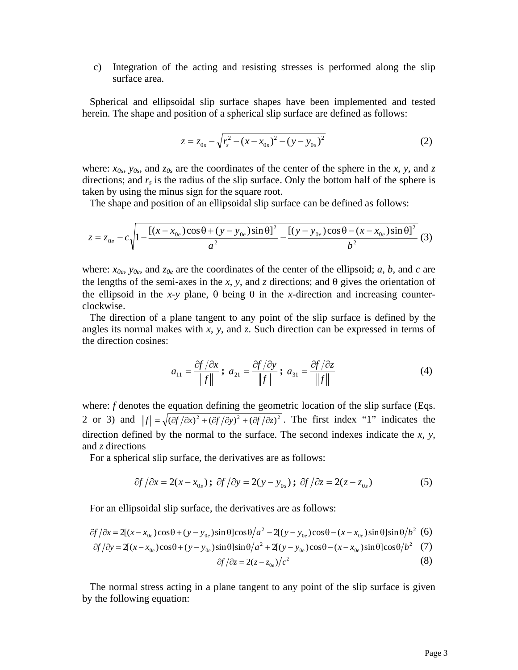c) Integration of the acting and resisting stresses is performed along the slip surface area.

 Spherical and ellipsoidal slip surface shapes have been implemented and tested herein. The shape and position of a spherical slip surface are defined as follows:

$$
z = z_{0s} - \sqrt{r_s^2 - (x - x_{0s})^2 - (y - y_{0s})^2}
$$
 (2)

where:  $x_{0s}$ ,  $y_{0s}$ , and  $z_{0s}$  are the coordinates of the center of the sphere in the *x*, *y*, and *z* directions; and  $r<sub>s</sub>$  is the radius of the slip surface. Only the bottom half of the sphere is taken by using the minus sign for the square root.

The shape and position of an ellipsoidal slip surface can be defined as follows:

$$
z = z_{0e} - c \sqrt{1 - \frac{[(x - x_{0e})\cos\theta + (y - y_{0e})\sin\theta]^2}{a^2} - \frac{[(y - y_{0e})\cos\theta - (x - x_{0e})\sin\theta]^2}{b^2}} \tag{3}
$$

where:  $x_{0e}$ ,  $y_{0e}$ , and  $z_{0e}$  are the coordinates of the center of the ellipsoid; *a*, *b*, and *c* are the lengths of the semi-axes in the *x*, *y*, and *z* directions; and  $\theta$  gives the orientation of the ellipsoid in the *x*-*y* plane,  $\theta$  being 0 in the *x*-direction and increasing counterclockwise.

 The direction of a plane tangent to any point of the slip surface is defined by the angles its normal makes with *x*, *y*, and *z*. Such direction can be expressed in terms of the direction cosines:

$$
a_{11} = \frac{\partial f}{\partial x} \; ; \; a_{21} = \frac{\partial f}{\partial y} \; ; \; a_{31} = \frac{\partial f}{\partial z} \tag{4}
$$

where: *f* denotes the equation defining the geometric location of the slip surface (Eqs. 2 or 3) and  $||f|| = \sqrt{(\partial f/\partial x)^2 + (\partial f/\partial y)^2 + (\partial f/\partial z)^2}$ . The first index "1" indicates the direction defined by the normal to the surface. The second indexes indicate the *x*, *y*, and *z* directions

For a spherical slip surface, the derivatives are as follows:

$$
\partial f / \partial x = 2(x - x_{0s}) \; \partial f / \partial y = 2(y - y_{0s}) \; \partial f / \partial z = 2(z - z_{0s}) \tag{5}
$$

For an ellipsoidal slip surface, the derivatives are as follows:

$$
\frac{\partial f}{\partial x} = 2[(x - x_{0e})\cos\theta + (y - y_{0e})\sin\theta]\cos\theta/a^2 - 2[(y - y_{0e})\cos\theta - (x - x_{0e})\sin\theta]\sin\theta/b^2
$$
 (6)  

$$
\frac{\partial f}{\partial y} = 2[(x - x_{0e})\cos\theta + (y - y_{0e})\sin\theta]\sin\theta/a^2 + 2[(y - y_{0e})\cos\theta - (x - x_{0e})\sin\theta]\cos\theta/b^2
$$
 (7)  

$$
\frac{\partial f}{\partial z} = 2(z - z_{0e})/c^2
$$
 (8)

 The normal stress acting in a plane tangent to any point of the slip surface is given by the following equation: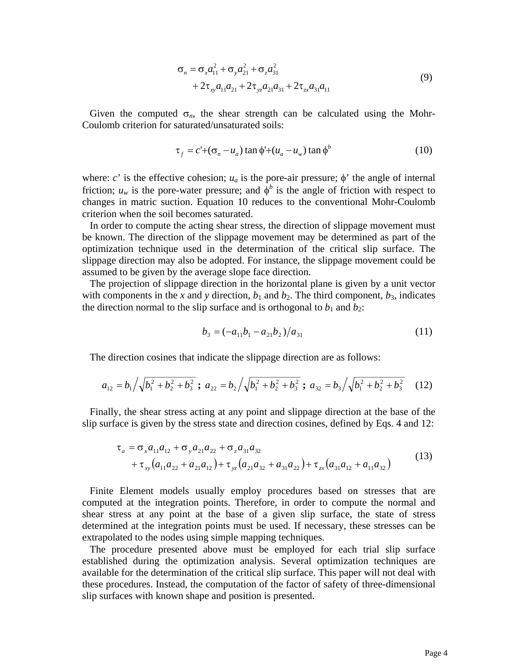$$
\sigma_n = \sigma_x a_{11}^2 + \sigma_y a_{21}^2 + \sigma_z a_{31}^2 + 2\tau_{xx} a_{31} a_{11} + 2\tau_{xx} a_{31} a_{31} + 2\tau_{xx} a_{31} a_{11}
$$
\n(9)

Given the computed  $\sigma_n$ , the shear strength can be calculated using the Mohr-Coulomb criterion for saturated/unsaturated soils:

$$
\tau_f = c' + (\sigma_n - u_a) \tan \phi' + (u_a - u_w) \tan \phi'
$$
 (10)

where: *c*' is the effective cohesion;  $u_a$  is the pore-air pressure;  $\phi$ ' the angle of internal friction;  $u_w$  is the pore-water pressure; and  $\phi^b$  is the angle of friction with respect to changes in matric suction. Equation 10 reduces to the conventional Mohr-Coulomb criterion when the soil becomes saturated.

 In order to compute the acting shear stress, the direction of slippage movement must be known. The direction of the slippage movement may be determined as part of the optimization technique used in the determination of the critical slip surface. The slippage direction may also be adopted. For instance, the slippage movement could be assumed to be given by the average slope face direction.

 The projection of slippage direction in the horizontal plane is given by a unit vector with components in the *x* and *y* direction,  $b_1$  and  $b_2$ . The third component,  $b_3$ , indicates the direction normal to the slip surface and is orthogonal to  $b_1$  and  $b_2$ :

$$
b_3 = (-a_{11}b_1 - a_{21}b_2)/a_{31} \tag{11}
$$

The direction cosines that indicate the slippage direction are as follows:

$$
a_{12} = b_1 / \sqrt{b_1^2 + b_2^2 + b_3^2} \; ; \; a_{22} = b_2 / \sqrt{b_1^2 + b_2^2 + b_3^2} \; ; \; a_{32} = b_3 / \sqrt{b_1^2 + b_2^2 + b_3^2} \quad (12)
$$

 Finally, the shear stress acting at any point and slippage direction at the base of the slip surface is given by the stress state and direction cosines, defined by Eqs. 4 and 12:

$$
\tau_a = \sigma_x a_{11} a_{12} + \sigma_y a_{21} a_{22} + \sigma_z a_{31} a_{32} \n+ \tau_{xy} (a_{11} a_{22} + a_{21} a_{12}) + \tau_{yz} (a_{21} a_{32} + a_{31} a_{22}) + \tau_{zx} (a_{31} a_{12} + a_{11} a_{32})
$$
\n(13)

 Finite Element models usually employ procedures based on stresses that are computed at the integration points. Therefore, in order to compute the normal and shear stress at any point at the base of a given slip surface, the state of stress determined at the integration points must be used. If necessary, these stresses can be extrapolated to the nodes using simple mapping techniques.

 The procedure presented above must be employed for each trial slip surface established during the optimization analysis. Several optimization techniques are available for the determination of the critical slip surface. This paper will not deal with these procedures. Instead, the computation of the factor of safety of three-dimensional slip surfaces with known shape and position is presented.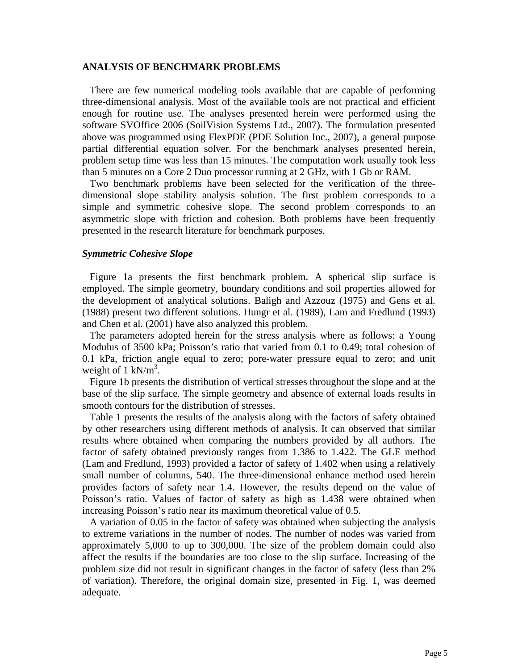### **ANALYSIS OF BENCHMARK PROBLEMS**

 There are few numerical modeling tools available that are capable of performing three-dimensional analysis. Most of the available tools are not practical and efficient enough for routine use. The analyses presented herein were performed using the software SVOffice 2006 (SoilVision Systems Ltd., 2007). The formulation presented above was programmed using FlexPDE (PDE Solution Inc., 2007), a general purpose partial differential equation solver. For the benchmark analyses presented herein, problem setup time was less than 15 minutes. The computation work usually took less than 5 minutes on a Core 2 Duo processor running at 2 GHz, with 1 Gb or RAM.

 Two benchmark problems have been selected for the verification of the threedimensional slope stability analysis solution. The first problem corresponds to a simple and symmetric cohesive slope. The second problem corresponds to an asymmetric slope with friction and cohesion. Both problems have been frequently presented in the research literature for benchmark purposes.

#### *Symmetric Cohesive Slope*

 Figure 1a presents the first benchmark problem. A spherical slip surface is employed. The simple geometry, boundary conditions and soil properties allowed for the development of analytical solutions. Baligh and Azzouz (1975) and Gens et al. (1988) present two different solutions. Hungr et al. (1989), Lam and Fredlund (1993) and Chen et al. (2001) have also analyzed this problem.

 The parameters adopted herein for the stress analysis where as follows: a Young Modulus of 3500 kPa; Poisson's ratio that varied from 0.1 to 0.49; total cohesion of 0.1 kPa, friction angle equal to zero; pore-water pressure equal to zero; and unit weight of 1 kN/ $m^3$ .

 Figure 1b presents the distribution of vertical stresses throughout the slope and at the base of the slip surface. The simple geometry and absence of external loads results in smooth contours for the distribution of stresses.

 Table 1 presents the results of the analysis along with the factors of safety obtained by other researchers using different methods of analysis. It can observed that similar results where obtained when comparing the numbers provided by all authors. The factor of safety obtained previously ranges from 1.386 to 1.422. The GLE method (Lam and Fredlund, 1993) provided a factor of safety of 1.402 when using a relatively small number of columns, 540. The three-dimensional enhance method used herein provides factors of safety near 1.4. However, the results depend on the value of Poisson's ratio. Values of factor of safety as high as 1.438 were obtained when increasing Poisson's ratio near its maximum theoretical value of 0.5.

 A variation of 0.05 in the factor of safety was obtained when subjecting the analysis to extreme variations in the number of nodes. The number of nodes was varied from approximately 5,000 to up to 300,000. The size of the problem domain could also affect the results if the boundaries are too close to the slip surface. Increasing of the problem size did not result in significant changes in the factor of safety (less than 2% of variation). Therefore, the original domain size, presented in Fig. 1, was deemed adequate.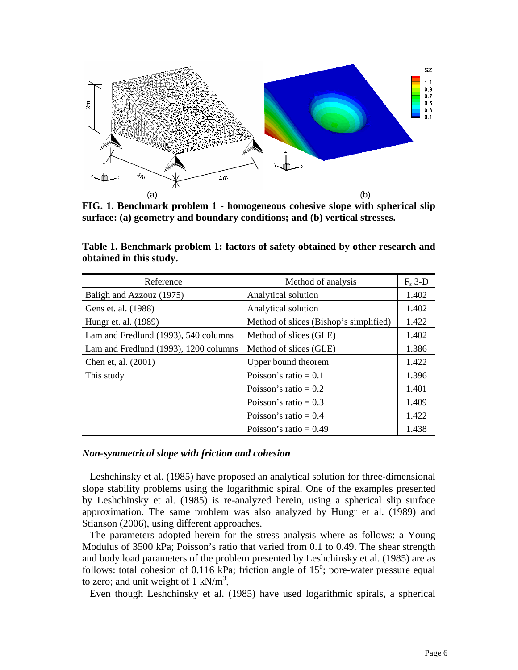

**FIG. 1. Benchmark problem 1 - homogeneous cohesive slope with spherical slip surface: (a) geometry and boundary conditions; and (b) vertical stresses.** 

| Reference                             | Method of analysis                     | $F_s$ 3-D |
|---------------------------------------|----------------------------------------|-----------|
| Baligh and Azzouz (1975)              | Analytical solution                    | 1.402     |
| Gens et. al. (1988)                   | Analytical solution                    | 1.402     |
| Hungr et. al. (1989)                  | Method of slices (Bishop's simplified) | 1.422     |
| Lam and Fredlund (1993), 540 columns  | Method of slices (GLE)                 | 1.402     |
| Lam and Fredlund (1993), 1200 columns | Method of slices (GLE)                 | 1.386     |
| Chen et, al. (2001)                   | Upper bound theorem                    | 1.422     |
| This study                            | Poisson's ratio = $0.1$                | 1.396     |
|                                       | Poisson's ratio = $0.2$                | 1.401     |
|                                       | Poisson's ratio = $0.3$                | 1.409     |
|                                       | Poisson's ratio $= 0.4$                | 1.422     |
|                                       | Poisson's ratio = $0.49$               | 1.438     |

**Table 1. Benchmark problem 1: factors of safety obtained by other research and obtained in this study.** 

### *Non-symmetrical slope with friction and cohesion*

 Leshchinsky et al. (1985) have proposed an analytical solution for three-dimensional slope stability problems using the logarithmic spiral. One of the examples presented by Leshchinsky et al. (1985) is re-analyzed herein, using a spherical slip surface approximation. The same problem was also analyzed by Hungr et al. (1989) and Stianson (2006), using different approaches.

 The parameters adopted herein for the stress analysis where as follows: a Young Modulus of 3500 kPa; Poisson's ratio that varied from 0.1 to 0.49. The shear strength and body load parameters of the problem presented by Leshchinsky et al. (1985) are as follows: total cohesion of  $0.116$  kPa; friction angle of  $15^\circ$ ; pore-water pressure equal to zero; and unit weight of  $1 \text{ kN/m}^3$ .

Even though Leshchinsky et al. (1985) have used logarithmic spirals, a spherical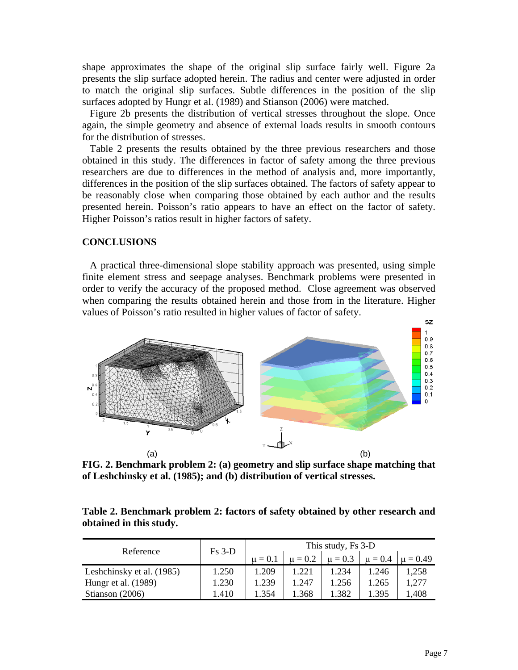shape approximates the shape of the original slip surface fairly well. Figure 2a presents the slip surface adopted herein. The radius and center were adjusted in order to match the original slip surfaces. Subtle differences in the position of the slip surfaces adopted by Hungr et al. (1989) and Stianson (2006) were matched.

 Figure 2b presents the distribution of vertical stresses throughout the slope. Once again, the simple geometry and absence of external loads results in smooth contours for the distribution of stresses.

 Table 2 presents the results obtained by the three previous researchers and those obtained in this study. The differences in factor of safety among the three previous researchers are due to differences in the method of analysis and, more importantly, differences in the position of the slip surfaces obtained. The factors of safety appear to be reasonably close when comparing those obtained by each author and the results presented herein. Poisson's ratio appears to have an effect on the factor of safety. Higher Poisson's ratios result in higher factors of safety.

# **CONCLUSIONS**

 A practical three-dimensional slope stability approach was presented, using simple finite element stress and seepage analyses. Benchmark problems were presented in order to verify the accuracy of the proposed method. Close agreement was observed when comparing the results obtained herein and those from in the literature. Higher values of Poisson's ratio resulted in higher values of factor of safety.



**FIG. 2. Benchmark problem 2: (a) geometry and slip surface shape matching that of Leshchinsky et al. (1985); and (b) distribution of vertical stresses.** 

| Table 2. Benchmark problem 2: factors of safety obtained by other research and |  |  |  |  |
|--------------------------------------------------------------------------------|--|--|--|--|
| obtained in this study.                                                        |  |  |  |  |

| Reference                 | $Fs3-D$ | This study, Fs 3-D |             |             |       |                          |  |
|---------------------------|---------|--------------------|-------------|-------------|-------|--------------------------|--|
|                           |         | $\mu = 0.1$        | $\mu = 0.2$ | $\mu = 0.3$ |       | $\mu = 0.4$ $\mu = 0.49$ |  |
| Leshchinsky et al. (1985) | 1.250   | 1.209              | 1.221       | 1.234       | 1.246 | 1.258                    |  |
| Hungr et al. (1989)       | 1.230   | 1.239              | 1.247       | 1.256       | .265  | 1,277                    |  |
| Stianson $(2006)$         | 1.410   | 1.354              | .368        | 1.382       | 1.395 | 1,408                    |  |